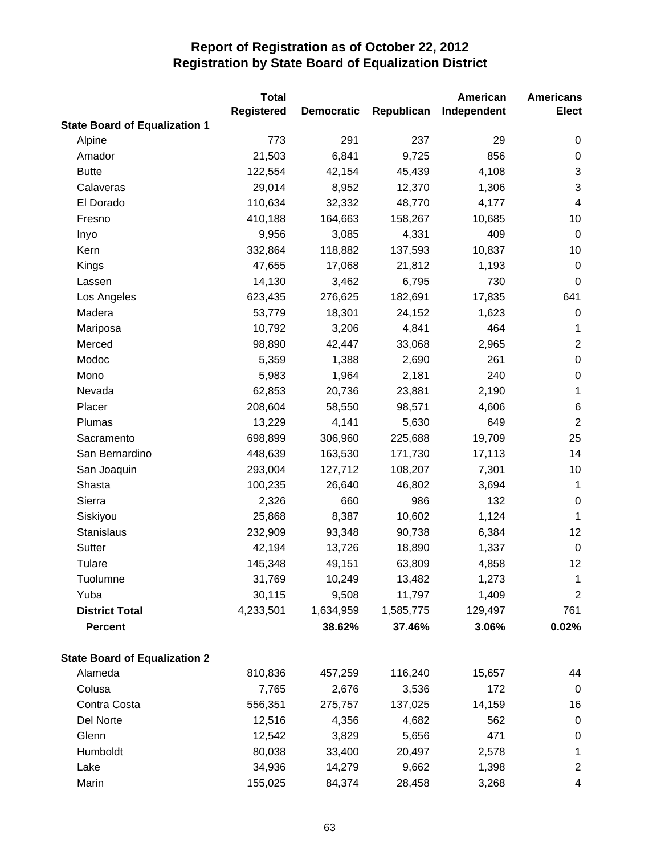|                                      | <b>Total</b>      |                   |            | American    | <b>Americans</b> |
|--------------------------------------|-------------------|-------------------|------------|-------------|------------------|
|                                      | <b>Registered</b> | <b>Democratic</b> | Republican | Independent | <b>Elect</b>     |
| <b>State Board of Equalization 1</b> |                   |                   |            |             |                  |
| Alpine                               | 773               | 291               | 237        | 29          | 0                |
| Amador                               | 21,503            | 6,841             | 9,725      | 856         | $\pmb{0}$        |
| <b>Butte</b>                         | 122,554           | 42,154            | 45,439     | 4,108       | 3                |
| Calaveras                            | 29,014            | 8,952             | 12,370     | 1,306       | 3                |
| El Dorado                            | 110,634           | 32,332            | 48,770     | 4,177       | $\overline{4}$   |
| Fresno                               | 410,188           | 164,663           | 158,267    | 10,685      | 10               |
| Inyo                                 | 9,956             | 3,085             | 4,331      | 409         | $\mathbf 0$      |
| Kern                                 | 332,864           | 118,882           | 137,593    | 10,837      | 10               |
| Kings                                | 47,655            | 17,068            | 21,812     | 1,193       | $\mathbf 0$      |
| Lassen                               | 14,130            | 3,462             | 6,795      | 730         | 0                |
| Los Angeles                          | 623,435           | 276,625           | 182,691    | 17,835      | 641              |
| Madera                               | 53,779            | 18,301            | 24,152     | 1,623       | $\mathbf 0$      |
| Mariposa                             | 10,792            | 3,206             | 4,841      | 464         | 1                |
| Merced                               | 98,890            | 42,447            | 33,068     | 2,965       | $\mathbf{2}$     |
| Modoc                                | 5,359             | 1,388             | 2,690      | 261         | $\boldsymbol{0}$ |
| Mono                                 | 5,983             | 1,964             | 2,181      | 240         | $\,0\,$          |
| Nevada                               | 62,853            | 20,736            | 23,881     | 2,190       | 1                |
| Placer                               | 208,604           | 58,550            | 98,571     | 4,606       | 6                |
| Plumas                               | 13,229            | 4,141             | 5,630      | 649         | $\sqrt{2}$       |
| Sacramento                           | 698,899           | 306,960           | 225,688    | 19,709      | 25               |
| San Bernardino                       | 448,639           | 163,530           | 171,730    | 17,113      | 14               |
| San Joaquin                          | 293,004           | 127,712           | 108,207    | 7,301       | 10               |
| Shasta                               | 100,235           | 26,640            | 46,802     | 3,694       | $\mathbf{1}$     |
| Sierra                               | 2,326             | 660               | 986        | 132         | $\boldsymbol{0}$ |
| Siskiyou                             | 25,868            | 8,387             | 10,602     | 1,124       | $\mathbf 1$      |
| Stanislaus                           | 232,909           | 93,348            | 90,738     | 6,384       | 12               |
| Sutter                               | 42,194            | 13,726            | 18,890     | 1,337       | $\mathbf 0$      |
| Tulare                               | 145,348           | 49,151            | 63,809     | 4,858       | 12               |
| Tuolumne                             | 31,769            | 10,249            | 13,482     | 1,273       | 1                |
| Yuba                                 | 30,115            | 9,508             | 11,797     | 1,409       | $\overline{c}$   |
| <b>District Total</b>                | 4,233,501         | 1,634,959         | 1,585,775  | 129,497     | 761              |
| <b>Percent</b>                       |                   | 38.62%            | 37.46%     | 3.06%       | 0.02%            |
| <b>State Board of Equalization 2</b> |                   |                   |            |             |                  |
| Alameda                              | 810,836           | 457,259           | 116,240    | 15,657      | 44               |
| Colusa                               | 7,765             | 2,676             | 3,536      | 172         | 0                |
| Contra Costa                         | 556,351           | 275,757           | 137,025    | 14,159      | 16               |
| Del Norte                            | 12,516            | 4,356             | 4,682      | 562         | $\pmb{0}$        |
| Glenn                                | 12,542            | 3,829             | 5,656      | 471         | $\pmb{0}$        |
| Humboldt                             | 80,038            | 33,400            | 20,497     | 2,578       | $\mathbf 1$      |
| Lake                                 | 34,936            | 14,279            | 9,662      | 1,398       | $\overline{c}$   |
| Marin                                | 155,025           | 84,374            | 28,458     | 3,268       | 4                |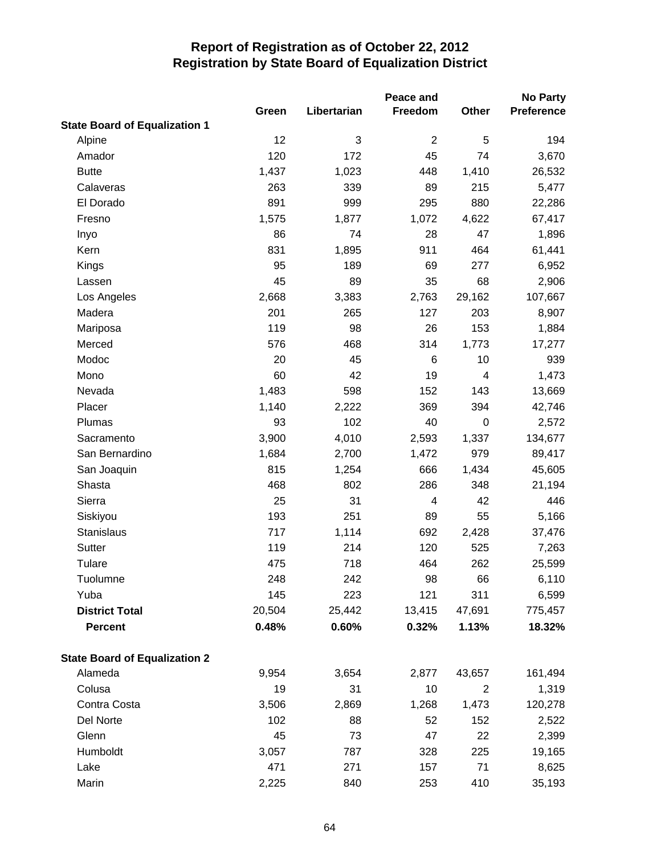|                                      | Green  | Libertarian | Peace and<br>Freedom | Other            | <b>No Party</b><br><b>Preference</b> |
|--------------------------------------|--------|-------------|----------------------|------------------|--------------------------------------|
| <b>State Board of Equalization 1</b> |        |             |                      |                  |                                      |
| Alpine                               | 12     | 3           | $\overline{2}$       | 5                | 194                                  |
| Amador                               | 120    | 172         | 45                   | 74               | 3,670                                |
| <b>Butte</b>                         | 1,437  | 1,023       | 448                  | 1,410            | 26,532                               |
| Calaveras                            | 263    | 339         | 89                   | 215              | 5,477                                |
| El Dorado                            | 891    | 999         | 295                  | 880              | 22,286                               |
| Fresno                               | 1,575  | 1,877       | 1,072                | 4,622            | 67,417                               |
| Inyo                                 | 86     | 74          | 28                   | 47               | 1,896                                |
| Kern                                 | 831    | 1,895       | 911                  | 464              | 61,441                               |
| Kings                                | 95     | 189         | 69                   | 277              | 6,952                                |
| Lassen                               | 45     | 89          | 35                   | 68               | 2,906                                |
| Los Angeles                          | 2,668  | 3,383       | 2,763                | 29,162           | 107,667                              |
| Madera                               | 201    | 265         | 127                  | 203              | 8,907                                |
| Mariposa                             | 119    | 98          | 26                   | 153              | 1,884                                |
| Merced                               | 576    | 468         | 314                  | 1,773            | 17,277                               |
| Modoc                                | 20     | 45          | 6                    | 10               | 939                                  |
| Mono                                 | 60     | 42          | 19                   | 4                | 1,473                                |
| Nevada                               | 1,483  | 598         | 152                  | 143              | 13,669                               |
| Placer                               | 1,140  | 2,222       | 369                  | 394              | 42,746                               |
| Plumas                               | 93     | 102         | 40                   | $\boldsymbol{0}$ | 2,572                                |
| Sacramento                           | 3,900  | 4,010       | 2,593                | 1,337            | 134,677                              |
| San Bernardino                       | 1,684  | 2,700       | 1,472                | 979              | 89,417                               |
| San Joaquin                          | 815    | 1,254       | 666                  | 1,434            | 45,605                               |
| Shasta                               | 468    | 802         | 286                  | 348              | 21,194                               |
| Sierra                               | 25     | 31          | 4                    | 42               | 446                                  |
| Siskiyou                             | 193    | 251         | 89                   | 55               | 5,166                                |
| <b>Stanislaus</b>                    | 717    | 1,114       | 692                  | 2,428            | 37,476                               |
| <b>Sutter</b>                        | 119    | 214         | 120                  | 525              | 7,263                                |
| Tulare                               | 475    | 718         | 464                  | 262              | 25,599                               |
| Tuolumne                             | 248    | 242         | 98                   | 66               | 6,110                                |
| Yuba                                 | 145    | 223         | 121                  | 311              | 6,599                                |
| <b>District Total</b>                | 20,504 | 25,442      | 13,415               | 47,691           | 775,457                              |
| <b>Percent</b>                       | 0.48%  | 0.60%       | 0.32%                | 1.13%            | 18.32%                               |
| <b>State Board of Equalization 2</b> |        |             |                      |                  |                                      |
| Alameda                              | 9,954  | 3,654       | 2,877                | 43,657           | 161,494                              |
| Colusa                               | 19     | 31          | 10                   | $\overline{2}$   | 1,319                                |
| Contra Costa                         | 3,506  | 2,869       | 1,268                | 1,473            | 120,278                              |
| Del Norte                            | 102    | 88          | 52                   | 152              | 2,522                                |
| Glenn                                | 45     | 73          | 47                   | 22               | 2,399                                |
| Humboldt                             | 3,057  | 787         | 328                  | 225              | 19,165                               |
| Lake                                 | 471    | 271         | 157                  | 71               | 8,625                                |
| Marin                                | 2,225  | 840         | 253                  | 410              | 35,193                               |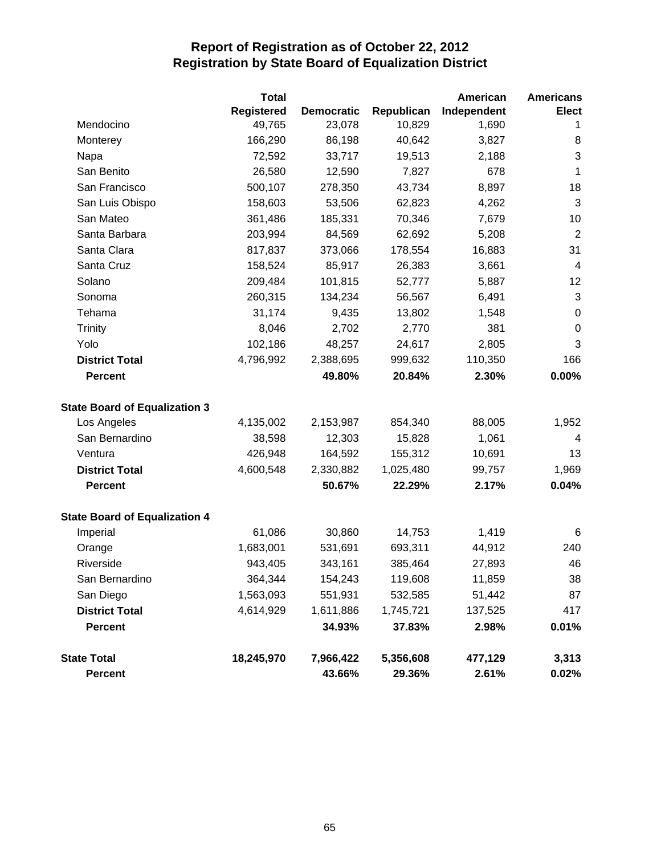|                                      | <b>Total</b>      |                   |            | American    | <b>Americans</b> |
|--------------------------------------|-------------------|-------------------|------------|-------------|------------------|
|                                      | <b>Registered</b> | <b>Democratic</b> | Republican | Independent | <b>Elect</b>     |
| Mendocino                            | 49,765            | 23,078            | 10,829     | 1,690       | 1                |
| Monterey                             | 166,290           | 86,198            | 40,642     | 3,827       | 8                |
| Napa                                 | 72,592            | 33,717            | 19,513     | 2,188       | 3                |
| San Benito                           | 26,580            | 12,590            | 7,827      | 678         | 1                |
| San Francisco                        | 500,107           | 278,350           | 43,734     | 8,897       | 18               |
| San Luis Obispo                      | 158,603           | 53,506            | 62,823     | 4,262       | 3                |
| San Mateo                            | 361,486           | 185,331           | 70,346     | 7,679       | 10               |
| Santa Barbara                        | 203,994           | 84,569            | 62,692     | 5,208       | $\overline{2}$   |
| Santa Clara                          | 817,837           | 373,066           | 178,554    | 16,883      | 31               |
| Santa Cruz                           | 158,524           | 85,917            | 26,383     | 3,661       | 4                |
| Solano                               | 209,484           | 101,815           | 52,777     | 5,887       | 12               |
| Sonoma                               | 260,315           | 134,234           | 56,567     | 6,491       | $\sqrt{3}$       |
| Tehama                               | 31,174            | 9,435             | 13,802     | 1,548       | $\pmb{0}$        |
| <b>Trinity</b>                       | 8,046             | 2,702             | 2,770      | 381         | $\boldsymbol{0}$ |
| Yolo                                 | 102,186           | 48,257            | 24,617     | 2,805       | 3                |
| <b>District Total</b>                | 4,796,992         | 2,388,695         | 999,632    | 110,350     | 166              |
| <b>Percent</b>                       |                   | 49.80%            | 20.84%     | 2.30%       | 0.00%            |
| <b>State Board of Equalization 3</b> |                   |                   |            |             |                  |
| Los Angeles                          | 4,135,002         | 2,153,987         | 854,340    | 88,005      | 1,952            |
| San Bernardino                       | 38,598            | 12,303            | 15,828     | 1,061       | $\overline{4}$   |
| Ventura                              | 426,948           | 164,592           | 155,312    | 10,691      | 13               |
| <b>District Total</b>                | 4,600,548         | 2,330,882         | 1,025,480  | 99,757      | 1,969            |
| <b>Percent</b>                       |                   | 50.67%            | 22.29%     | 2.17%       | 0.04%            |
| <b>State Board of Equalization 4</b> |                   |                   |            |             |                  |
| Imperial                             | 61,086            | 30,860            | 14,753     | 1,419       | 6                |
| Orange                               | 1,683,001         | 531,691           | 693,311    | 44,912      | 240              |
| Riverside                            | 943,405           | 343,161           | 385,464    | 27,893      | 46               |
| San Bernardino                       | 364,344           | 154,243           | 119,608    | 11,859      | 38               |
| San Diego                            | 1,563,093         | 551,931           | 532,585    | 51,442      | 87               |
| <b>District Total</b>                | 4,614,929         | 1,611,886         | 1,745,721  | 137,525     | 417              |
| <b>Percent</b>                       |                   | 34.93%            | 37.83%     | 2.98%       | 0.01%            |
| <b>State Total</b>                   | 18,245,970        | 7,966,422         | 5,356,608  | 477,129     | 3,313            |
| <b>Percent</b>                       |                   | 43.66%            | 29.36%     | 2.61%       | $0.02\%$         |